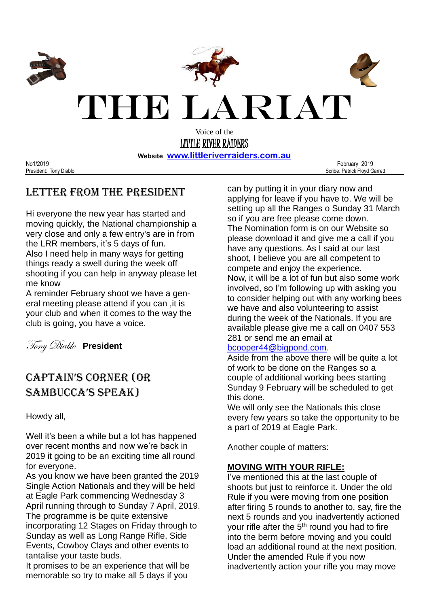

**Website [www.littleriverraiders.com.au](http://www.littleriverraiders.com.au/)**

No1/2019 February 2019 President: Tony Diablo Scribe: Patrick Floyd Garrett

## Letter from the President

Hi everyone the new year has started and moving quickly, the National championship a very close and only a few entry's are in from the LRR members, it's 5 days of fun. Also I need help in many ways for getting things ready a swell during the week off shooting if you can help in anyway please let me know

A reminder February shoot we have a general meeting please attend if you can ,it is your club and when it comes to the way the club is going, you have a voice.

Tony Diablo **President**

# CAPTAIN'S CORNER (OR SAMBUCCA'S SPEAK)

### Howdy all,

Well it's been a while but a lot has happened over recent months and now we're back in 2019 it going to be an exciting time all round for everyone.

As you know we have been granted the 2019 Single Action Nationals and they will be held at Eagle Park commencing Wednesday 3 April running through to Sunday 7 April, 2019. The programme is be quite extensive incorporating 12 Stages on Friday through to Sunday as well as Long Range Rifle, Side Events, Cowboy Clays and other events to tantalise your taste buds.

It promises to be an experience that will be memorable so try to make all 5 days if you

can by putting it in your diary now and applying for leave if you have to. We will be setting up all the Ranges o Sunday 31 March so if you are free please come down. The Nomination form is on our Website so please download it and give me a call if you have any questions. As I said at our last shoot, I believe you are all competent to compete and enjoy the experience. Now, it will be a lot of fun but also some work involved, so I'm following up with asking you to consider helping out with any working bees we have and also volunteering to assist during the week of the Nationals. If you are available please give me a call on 0407 553 281 or send me an email at

### [bcooper44@bigpond.com.](mailto:bcooper44@bigpond.com)

Aside from the above there will be quite a lot of work to be done on the Ranges so a couple of additional working bees starting Sunday 9 February will be scheduled to get this done.

We will only see the Nationals this close every few years so take the opportunity to be a part of 2019 at Eagle Park.

Another couple of matters:

### **MOVING WITH YOUR RIFLE:**

I've mentioned this at the last couple of shoots but just to reinforce it. Under the old Rule if you were moving from one position after firing 5 rounds to another to, say, fire the next 5 rounds and you inadvertently actioned your rifle after the 5<sup>th</sup> round you had to fire into the berm before moving and you could load an additional round at the next position. Under the amended Rule if you now inadvertently action your rifle you may move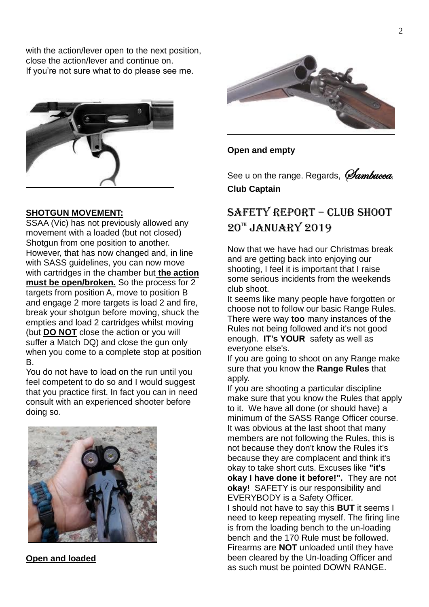with the action/lever open to the next position, close the action/lever and continue on. If you're not sure what to do please see me.



#### **SHOTGUN MOVEMENT:**

SSAA (Vic) has not previously allowed any movement with a loaded (but not closed) Shotgun from one position to another. However, that has now changed and, in line with SASS guidelines, you can now move with cartridges in the chamber but **the action must be open/broken.** So the process for 2 targets from position A, move to position B and engage 2 more targets is load 2 and fire, break your shotgun before moving, shuck the empties and load 2 cartridges whilst moving (but **DO NOT** close the action or you will suffer a Match DQ) and close the gun only when you come to a complete stop at position B.

You do not have to load on the run until you feel competent to do so and I would suggest that you practice first. In fact you can in need consult with an experienced shooter before doing so.



#### **Open and loaded**



#### **Open and empty**

See u on the range. Regards, *Jambucca*, **Club Captain**

## SAFETY REPORT – Club Shoot  $20^{\text{th}}$  JANUARY 2019

Now that we have had our Christmas break and are getting back into enjoying our shooting, I feel it is important that I raise some serious incidents from the weekends club shoot.

It seems like many people have forgotten or choose not to follow our basic Range Rules. There were way **too** many instances of the Rules not being followed and it's not good enough. **IT's YOUR** safety as well as everyone else's.

If you are going to shoot on any Range make sure that you know the **Range Rules** that apply.

If you are shooting a particular discipline make sure that you know the Rules that apply to it. We have all done (or should have) a minimum of the SASS Range Officer course. It was obvious at the last shoot that many members are not following the Rules, this is not because they don't know the Rules it's because they are complacent and think it's okay to take short cuts. Excuses like **"it's okay I have done it before!".** They are not **okay!** SAFETY is our responsibility and EVERYBODY is a Safety Officer. I should not have to say this **BUT** it seems I need to keep repeating myself. The firing line is from the loading bench to the un-loading bench and the 170 Rule must be followed. Firearms are **NOT** unloaded until they have been cleared by the Un-loading Officer and as such must be pointed DOWN RANGE.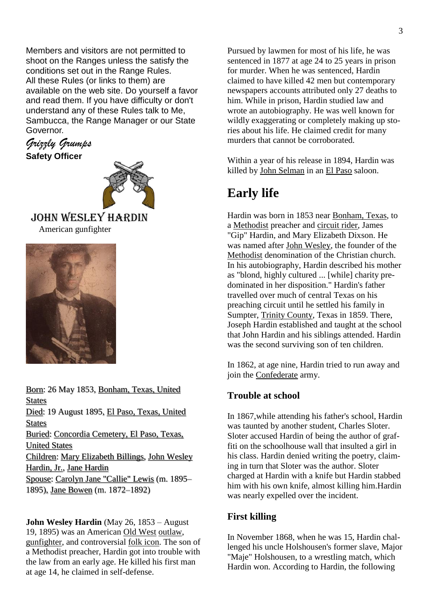Members and visitors are not permitted to shoot on the Ranges unless the satisfy the conditions set out in the Range Rules. All these Rules (or links to them) are available on the web site. Do yourself a favor and read them. If you have difficulty or don't understand any of these Rules talk to Me, Sambucca, the Range Manager or our State Governor.

*Grizzly Grumps* **Safety Officer**



### John Wesley Hardin American gunfighter



[Born:](https://www.google.com/search?sa=X&biw=1366&bih=632&q=john+wesley+hardin+born&stick=H4sIAAAAAAAAAOPgE-LUz9U3MEouzCnSEstOttIvSM0vyEkFUkXF-XlWSflFeYtYxbPyM_IUylOLc1IrFTISi1Iy8xRAMgAgJpDwPwAAAA&ved=2ahUKEwjqkKPkjJ_gAhXI6Y8KHVvdDqcQ6BMoADAfegQIAxAs) 26 May 1853, [Bonham, Texas, United](https://www.google.com/search?sa=X&biw=1366&bih=632&q=Bonham,+Texas&stick=H4sIAAAAAAAAAOPgE-LUz9U3MEouzClSAjMNDQzik7TEspOt9AtS8wtyUoFUUXF-nlVSflHeIlZep_y8jMRcHYWQ1IrEYgCyyZT8QAAAAA&ved=2ahUKEwjqkKPkjJ_gAhXI6Y8KHVvdDqcQmxMoATAfegQIAxAt)  [States](https://www.google.com/search?sa=X&biw=1366&bih=632&q=Bonham,+Texas&stick=H4sIAAAAAAAAAOPgE-LUz9U3MEouzClSAjMNDQzik7TEspOt9AtS8wtyUoFUUXF-nlVSflHeIlZep_y8jMRcHYWQ1IrEYgCyyZT8QAAAAA&ved=2ahUKEwjqkKPkjJ_gAhXI6Y8KHVvdDqcQmxMoATAfegQIAxAt) [Died:](https://www.google.com/search?sa=X&biw=1366&bih=632&q=john+wesley+hardin+died&stick=H4sIAAAAAAAAAOPgE-LUz9U3MEouzCnSks9OttIvSM0vyEnVT0lNTk0sTk2JL0gtKs7Ps0rJTE1ZxCqelZ-Rp1CeWpyTWqmQkViUkpmnAJIBAH1TbfVIAAAA&ved=2ahUKEwjqkKPkjJ_gAhXI6Y8KHVvdDqcQ6BMoADAgegQIAxAw) 19 August 1895, [El Paso, Texas, United](https://www.google.com/search?sa=X&biw=1366&bih=632&q=El+Paso,+Texas&stick=H4sIAAAAAAAAAOPgE-LUz9U3MEouzClSAjMNDQxyS7Tks5Ot9AtS8wtyUvVTUpNTE4tTU-ILUouK8_OsUjJTUxax8rnmKAQkFufrKISkViQWAwCUIL7GSgAAAA&ved=2ahUKEwjqkKPkjJ_gAhXI6Y8KHVvdDqcQmxMoATAgegQIAxAx)  **[States](https://www.google.com/search?sa=X&biw=1366&bih=632&q=El+Paso,+Texas&stick=H4sIAAAAAAAAAOPgE-LUz9U3MEouzClSAjMNDQxyS7Tks5Ot9AtS8wtyUvVTUpNTE4tTU-ILUouK8_OsUjJTUxax8rnmKAQkFufrKISkViQWAwCUIL7GSgAAAA&ved=2ahUKEwjqkKPkjJ_gAhXI6Y8KHVvdDqcQmxMoATAgegQIAxAx)** [Buried:](https://www.google.com/search?sa=X&biw=1366&bih=632&q=john+wesley+hardin+buried&stick=H4sIAAAAAAAAAOPgE-LUz9U3MEouzCnSUsxOttIvSM0vyEnVT0lNTk0sTk2JL0gtKs7Ps0oqLcpMTVnEKpmVn5GnUJ5anJNaqZCRWJSSmacAkQMAeFNdJ0wAAAA&ved=2ahUKEwjqkKPkjJ_gAhXI6Y8KHVvdDqcQ6BMoADAhegQIAxA0) [Concordia Cemetery, El Paso, Texas,](https://www.google.com/search?sa=X&biw=1366&bih=632&q=Concordia+Cemetery+(El+Paso,+Texas)&stick=H4sIAAAAAAAAAOPgE-LUz9U3MEouzClS4tVP1zc0TIk3rywoMzDUUsxOttIvSM0vyEnVT0lNTk0sTk2JL0gtKs7Ps0oqLcpMTVnEquycn5ecX5SSmajgnJqbWpJaVKmg4ZqjEJBYnK-jEJJakVisCQBLi5MfZQAAAA&ved=2ahUKEwjqkKPkjJ_gAhXI6Y8KHVvdDqcQmxMoATAhegQIAxA1)  [United States](https://www.google.com/search?sa=X&biw=1366&bih=632&q=Concordia+Cemetery+(El+Paso,+Texas)&stick=H4sIAAAAAAAAAOPgE-LUz9U3MEouzClS4tVP1zc0TIk3rywoMzDUUsxOttIvSM0vyEnVT0lNTk0sTk2JL0gtKs7Ps0oqLcpMTVnEquycn5ecX5SSmajgnJqbWpJaVKmg4ZqjEJBYnK-jEJJakVisCQBLi5MfZQAAAA&ved=2ahUKEwjqkKPkjJ_gAhXI6Y8KHVvdDqcQmxMoATAhegQIAxA1) [Children:](https://www.google.com/search?sa=X&biw=1366&bih=632&q=john+wesley+hardin+children&stick=H4sIAAAAAAAAAOPgE-LUz9U3MEouzCnSkspOttIvSM0vyEkFUkXF-XlWyRmZOSlFqXmLWKWz8jPyFMpTi3NSKxUyEotSMvMUYLIARODYU0cAAAA&ved=2ahUKEwjqkKPkjJ_gAhXI6Y8KHVvdDqcQ6BMoADAiegQIAxA4) [Mary Elizabeth Billings,](https://www.google.com/search?sa=X&biw=1366&bih=632&q=Mary+Elizabeth+Billings&stick=H4sIAAAAAAAAAOPgE-LUz9U3MEouzClS4tVP1zc0TDYrTDEoMC7SkspOttIvSM0vyEkFUkXF-XlWyRmZOSlFqXmLWMV9E4sqFVxzMqsSk1JLMhScMnNyMvPSiwEBQP1vUgAAAA&ved=2ahUKEwjqkKPkjJ_gAhXI6Y8KHVvdDqcQmxMoATAiegQIAxA5) [John Wesley](https://www.google.com/search?sa=X&biw=1366&bih=632&q=John+Wesley+Hardin,+Jr.&stick=H4sIAAAAAAAAAOPgE-LUz9U3MEouzClS4tVP1zc0TDfLzUoxjk_SkspOttIvSM0vyEkFUkXF-XlWyRmZOSlFqXmLWMW98jPyFMJTi3NSKxU8EotSMvN0FLyK9ACNfWe6UgAAAA&ved=2ahUKEwjqkKPkjJ_gAhXI6Y8KHVvdDqcQmxMoAjAiegQIAxA6)  [Hardin, Jr.,](https://www.google.com/search?sa=X&biw=1366&bih=632&q=John+Wesley+Hardin,+Jr.&stick=H4sIAAAAAAAAAOPgE-LUz9U3MEouzClS4tVP1zc0TDfLzUoxjk_SkspOttIvSM0vyEkFUkXF-XlWyRmZOSlFqXmLWMW98jPyFMJTi3NSKxU8EotSMvN0FLyK9ACNfWe6UgAAAA&ved=2ahUKEwjqkKPkjJ_gAhXI6Y8KHVvdDqcQmxMoAjAiegQIAxA6) [Jane Hardin](https://www.google.com/search?sa=X&biw=1366&bih=632&q=Jane+Hardin&stick=H4sIAAAAAAAAAOPgE-LUz9U3MEouzClS4tVP1zc0TDYrTK7My0jSkspOttIvSM0vyEkFUkXF-XlWyRmZOSlFqXmLWLm9EvNSFTwSi1Iy8wBrRbTSRgAAAA&ved=2ahUKEwjqkKPkjJ_gAhXI6Y8KHVvdDqcQmxMoAzAiegQIAxA7) [Spouse:](https://www.google.com/search?sa=X&biw=1366&bih=632&q=john+wesley+hardin+spouse&stick=H4sIAAAAAAAAAOPgE-LUz9U3MEouzCnSkshOttIvSM0vyEkFUkXF-XlWxQX5pcWpi1gls_Iz8hTKU4tzUisVMhKLUjLzFCByAIgyA4JDAAAA&ved=2ahUKEwjqkKPkjJ_gAhXI6Y8KHVvdDqcQ6BMoADAjegQIAxA-) [Carolyn Jane "Callie" Lewis](https://www.google.com/search?sa=X&biw=1366&bih=632&q=Carolyn+Jane+%22Callie%22+Lewis&stick=H4sIAAAAAAAAAOPgE-LUz9U3MEouzClS4gIxs4rzLHLitSSyk630C1LzC3JSgVRRcX6eVXFBfmlx6iJWaefEovycyjwFr8S8VAUl58ScnMxUJQWf1PLMYgCaC2M8UQAAAA&ved=2ahUKEwjqkKPkjJ_gAhXI6Y8KHVvdDqcQmxMoATAjegQIAxA_) (m. 1895– 1895), [Jane Bowen](https://www.google.com/search?sa=X&biw=1366&bih=632&q=Jane+Bowen&stick=H4sIAAAAAAAAAOPgE-LUz9U3MEouzClS4gIxs8yS07JMtCSyk630C1LzC3JSgVRRcX6eVXFBfmlx6iJWLq_EvFQFp_zy1DwA3fMW2UAAAAA&ved=2ahUKEwjqkKPkjJ_gAhXI6Y8KHVvdDqcQmxMoAjAjegQIAxBA) (m. 1872–1892)

**John Wesley Hardin** (May 26, 1853 – August 19, 1895) was an American [Old West](https://en.wikipedia.org/wiki/American_Old_West) [outlaw,](https://en.wikipedia.org/wiki/Outlaw) [gunfighter,](https://en.wikipedia.org/wiki/Gunslinger) and controversial [folk icon.](https://en.wikipedia.org/wiki/Folk_hero) The son of a Methodist preacher, Hardin got into trouble with the law from an early age. He killed his first man at age 14, he claimed in self-defense.

Pursued by lawmen for most of his life, he was sentenced in 1877 at age 24 to 25 years in prison for murder. When he was sentenced, Hardin claimed to have killed 42 men but contemporary newspapers accounts attributed only 27 deaths to him. While in prison, Hardin studied law and wrote an autobiography. He was well known for wildly exaggerating or completely making up stories about his life. He claimed credit for many murders that cannot be corroborated.

Within a year of his release in 1894, Hardin was killed by [John Selman](https://en.wikipedia.org/wiki/John_Selman) in an [El Paso](https://en.wikipedia.org/wiki/El_Paso,_Texas) saloon.

# **Early life**

Hardin was born in 1853 near [Bonham, Texas,](https://en.wikipedia.org/wiki/Bonham,_Texas) to a [Methodist](https://en.wikipedia.org/wiki/Methodist) preacher and [circuit rider,](https://en.wikipedia.org/wiki/Circuit_rider_(religious)) James "Gip" Hardin, and Mary Elizabeth Dixson. He was named after [John Wesley,](https://en.wikipedia.org/wiki/John_Wesley) the founder of the [Methodist](https://en.wikipedia.org/wiki/Methodism) denomination of the Christian church. In his autobiography, Hardin described his mother as "blond, highly cultured ... [while] charity predominated in her disposition." Hardin's father travelled over much of central Texas on his preaching circuit until he settled his family in Sumpter, [Trinity County,](https://en.wikipedia.org/wiki/Trinity_County,_Texas) Texas in 1859. There, Joseph Hardin established and taught at the school that John Hardin and his siblings attended. Hardin was the second surviving son of ten children.

In 1862, at age nine, Hardin tried to run away and join the [Confederate](https://en.wikipedia.org/wiki/Confederate_States_of_America) army.

### **Trouble at school**

In 1867,while attending his father's school, Hardin was taunted by another student, Charles Sloter. Sloter accused Hardin of being the author of graffiti on the schoolhouse wall that insulted a girl in his class. Hardin denied writing the poetry, claiming in turn that Sloter was the author. Sloter charged at Hardin with a knife but Hardin stabbed him with his own knife, almost killing him.Hardin was nearly expelled over the incident.

### **First killing**

In November 1868, when he was 15, Hardin challenged his uncle Holshousen's former slave, Major "Maje" Holshousen, to a wrestling match, which Hardin won. According to Hardin, the following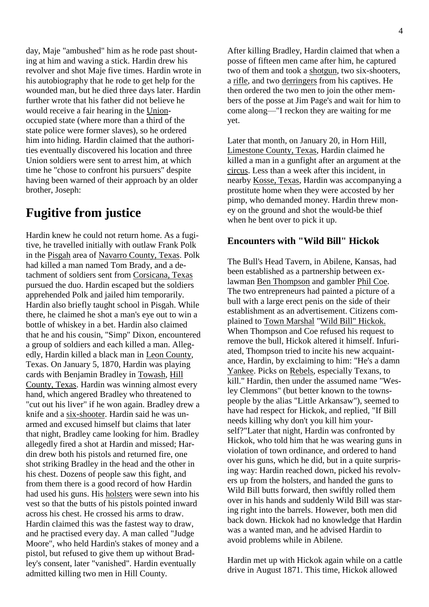day, Maje "ambushed" him as he rode past shouting at him and waving a stick. Hardin drew his revolver and shot Maje five times. Hardin wrote in his autobiography that he rode to get help for the wounded man, but he died three days later. Hardin further wrote that his father did not believe he would receive a fair hearing in the [Union](https://en.wikipedia.org/wiki/Union_(American_Civil_War))occupied state (where more than a third of the state police were former slaves), so he ordered him into hiding. Hardin claimed that the authorities eventually discovered his location and three Union soldiers were sent to arrest him, at which time he "chose to confront his pursuers" despite having been warned of their approach by an older brother, Joseph:

## **Fugitive from justice**

Hardin knew he could not return home. As a fugitive, he travelled initially with outlaw Frank Polk in the [Pisgah](https://en.wikipedia.org/wiki/Pisgah,_Texas) area of [Navarro County, Texas.](https://en.wikipedia.org/wiki/Navarro_County,_Texas) Polk had killed a man named Tom Brady, and a detachment of soldiers sent from [Corsicana, Texas](https://en.wikipedia.org/wiki/Corsicana,_Texas) pursued the duo. Hardin escaped but the soldiers apprehended Polk and jailed him temporarily. Hardin also briefly taught school in Pisgah. While there, he claimed he shot a man's eye out to win a bottle of whiskey in a bet. Hardin also claimed that he and his cousin, "Simp" Dixon, encountered a group of soldiers and each killed a man. Allegedly, Hardin killed a black man in [Leon County,](https://en.wikipedia.org/wiki/Leon_County,_Texas) Texas. On January 5, 1870, Hardin was playing cards with Benjamin Bradley in [Towash,](https://en.wikipedia.org/wiki/List_of_ghost_towns_in_Texas) [Hill](https://en.wikipedia.org/wiki/Hill_County,_Texas)  [County, Texas.](https://en.wikipedia.org/wiki/Hill_County,_Texas) Hardin was winning almost every hand, which angered Bradley who threatened to "cut out his liver" if he won again. Bradley drew a knife and a [six-shooter.](https://en.wikipedia.org/wiki/Revolver) Hardin said he was unarmed and excused himself but claims that later that night, Bradley came looking for him. Bradley allegedly fired a shot at Hardin and missed; Hardin drew both his pistols and returned fire, one shot striking Bradley in the head and the other in his chest. Dozens of people saw this fight, and from them there is a good record of how Hardin had used his guns. His [holsters](https://en.wikipedia.org/wiki/Holster) were sewn into his vest so that the butts of his pistols pointed inward across his chest. He crossed his arms to draw. Hardin claimed this was the fastest way to draw, and he practised every day. A man called "Judge Moore", who held Hardin's stakes of money and a pistol, but refused to give them up without Bradley's consent, later "vanished". Hardin eventually admitted killing two men in Hill County.

After killing Bradley, Hardin claimed that when a posse of fifteen men came after him, he captured two of them and took a [shotgun,](https://en.wikipedia.org/wiki/Shotgun) two six-shooters, a [rifle,](https://en.wikipedia.org/wiki/Rifle) and two [derringers](https://en.wikipedia.org/wiki/Derringer) from his captives. He then ordered the two men to join the other members of the posse at Jim Page's and wait for him to come along—"I reckon they are waiting for me yet.

Later that month, on January 20, in Horn Hill, [Limestone County, Texas,](https://en.wikipedia.org/wiki/Limestone_County,_Texas) Hardin claimed he killed a man in a gunfight after an argument at the [circus.](https://en.wikipedia.org/wiki/Circus) Less than a week after this incident, in nearby [Kosse, Texas,](https://en.wikipedia.org/wiki/Kosse,_Texas) Hardin was accompanying a prostitute home when they were accosted by her pimp, who demanded money. Hardin threw money on the ground and shot the would-be thief when he bent over to pick it up.

### **Encounters with "Wild Bill" Hickok**

The Bull's Head Tavern, in Abilene, Kansas, had been established as a partnership between exlawman [Ben Thompson](https://en.wikipedia.org/wiki/Ben_Thompson_(lawman)) and gambler [Phil Coe.](https://en.wikipedia.org/wiki/Phil_Coe) The two entrepreneurs had painted a picture of a bull with a large erect penis on the side of their establishment as an advertisement. Citizens complained to [Town Marshal](https://en.wikipedia.org/wiki/Marshal) ["Wild Bill" Hickok.](https://en.wikipedia.org/wiki/%22Wild_Bill%22_Hickok) When Thompson and Coe refused his request to remove the bull, Hickok altered it himself. Infuriated, Thompson tried to incite his new acquaintance, Hardin, by exclaiming to him: "He's a damn [Yankee.](https://en.wikipedia.org/wiki/Yankee) Picks on [Rebels,](https://en.wikipedia.org/wiki/Johnny_Reb) especially Texans, to kill." Hardin, then under the assumed name "Wesley Clemmons" (but better known to the townspeople by the alias "Little Arkansaw"), seemed to have had respect for Hickok, and replied, "If Bill needs killing why don't you kill him yourself?"Later that night, Hardin was confronted by Hickok, who told him that he was wearing guns in violation of town ordinance, and ordered to hand over his guns, which he did, but in a quite surprising way: Hardin reached down, picked his revolvers up from the holsters, and handed the guns to Wild Bill butts forward, then swiftly rolled them over in his hands and suddenly Wild Bill was staring right into the barrels. However, both men did back down. Hickok had no knowledge that Hardin was a wanted man, and he advised Hardin to avoid problems while in Abilene.

Hardin met up with Hickok again while on a cattle drive in August 1871. This time, Hickok allowed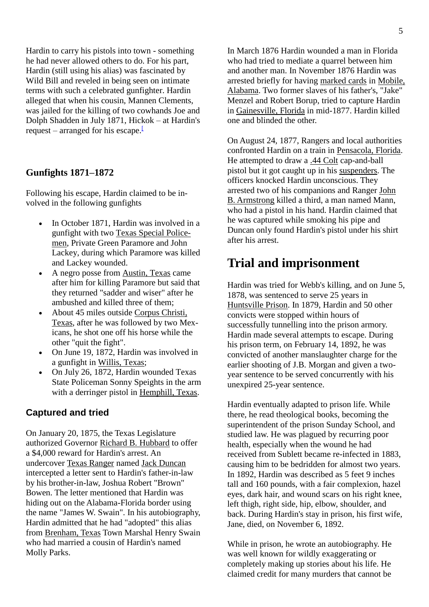Hardin to carry his pistols into town - something he had never allowed others to do. For his part, Hardin (still using his alias) was fascinated by Wild Bill and reveled in being seen on intimate terms with such a celebrated gunfighter. Hardin alleged that when his cousin, Mannen Clements, was jailed for the killing of two cowhands Joe and Dolph Shadden in July 1871, Hickok – at Hardin's request – arranged for his escape[.](https://en.wikipedia.org/wiki/John_Wesley_Hardin#cite_note-Hardin_Autobiography-4)

### **Gunfights 1871–1872**

Following his escape, Hardin claimed to be involved in the following gunfights

- In October 1871, Hardin was involved in a gunfight with two [Texas Special Police](https://en.wikipedia.org/wiki/Texas_Special_Police)[men,](https://en.wikipedia.org/wiki/Texas_Special_Police) Private Green Paramore and John Lackey, during which Paramore was killed and Lackey wounded.
- A negro posse from [Austin, Texas](https://en.wikipedia.org/wiki/Austin,_Texas) came after him for killing Paramore but said that they returned "sadder and wiser" after he ambushed and killed three of them;
- About 45 miles outside [Corpus Christi,](https://en.wikipedia.org/wiki/Corpus_Christi,_Texas)  [Texas,](https://en.wikipedia.org/wiki/Corpus_Christi,_Texas) after he was followed by two Mexicans, he shot one off his horse while the other "quit the fight".
- On June 19, 1872, Hardin was involved in a gunfight in [Willis, Texas;](https://en.wikipedia.org/wiki/Willis,_Texas)
- On July 26, 1872, Hardin wounded Texas State Policeman Sonny Speights in the arm with a derringer pistol in [Hemphill, Texas.](https://en.wikipedia.org/wiki/Hemphill,_Texas)

#### **Captured and tried**

On January 20, 1875, the Texas Legislature authorized Governor [Richard B. Hubbard](https://en.wikipedia.org/wiki/Richard_B._Hubbard) to offer a \$4,000 reward for Hardin's arrest. An undercover [Texas Ranger](https://en.wikipedia.org/wiki/Texas_Ranger_Division) named [Jack Duncan](https://en.wikipedia.org/wiki/John_Riley_Duncan) intercepted a letter sent to Hardin's father-in-law by his brother-in-law, Joshua Robert "Brown" Bowen. The letter mentioned that Hardin was hiding out on the Alabama-Florida border using the name "James W. Swain". In his autobiography, Hardin admitted that he had "adopted" this alias from [Brenham, Texas](https://en.wikipedia.org/wiki/Brenham,_Texas) Town Marshal Henry Swain who had married a cousin of Hardin's named Molly Parks.

In March 1876 Hardin wounded a man in Florida who had tried to mediate a quarrel between him and another man. In November 1876 Hardin was arrested briefly for having [marked cards](https://en.wikipedia.org/wiki/Marked_cards) in [Mobile,](https://en.wikipedia.org/wiki/Mobile,_Alabama)  [Alabama.](https://en.wikipedia.org/wiki/Mobile,_Alabama) Two former slaves of his father's, "Jake" Menzel and Robert Borup, tried to capture Hardin in [Gainesville, Florida](https://en.wikipedia.org/wiki/Gainesville,_Florida) in mid-1877. Hardin killed one and blinded the other.

On August 24, 1877, Rangers and local authorities confronted Hardin on a train in [Pensacola, Florida.](https://en.wikipedia.org/wiki/Pensacola,_Florida) He attempted to draw a [.44 Colt](https://en.wikipedia.org/wiki/.44_Colt) cap-and-ball pistol but it got caught up in his [suspenders.](https://en.wikipedia.org/wiki/Suspenders) The officers knocked Hardin unconscious. They arrested two of his companions and Ranger [John](https://en.wikipedia.org/wiki/John_Barclay_Armstrong)  [B. Armstrong](https://en.wikipedia.org/wiki/John_Barclay_Armstrong) killed a third, a man named Mann, who had a pistol in his hand. Hardin claimed that he was captured while smoking his pipe and Duncan only found Hardin's pistol under his shirt after his arrest.

## **Trial and imprisonment**

Hardin was tried for Webb's killing, and on June 5, 1878, was sentenced to serve 25 years in [Huntsville Prison.](https://en.wikipedia.org/wiki/Huntsville_Prison) In 1879, Hardin and 50 other convicts were stopped within hours of successfully tunnelling into the prison armory. Hardin made several attempts to escape. During his prison term, on February 14, 1892, he was convicted of another manslaughter charge for the earlier shooting of J.B. Morgan and given a twoyear sentence to be served concurrently with his unexpired 25-year sentence.

Hardin eventually adapted to prison life. While there, he read theological books, becoming the superintendent of the prison Sunday School, and studied law. He was plagued by recurring poor health, especially when the wound he had received from Sublett became re-infected in 1883, causing him to be bedridden for almost two years. In 1892, Hardin was described as 5 feet 9 inches tall and 160 pounds, with a fair complexion, hazel eyes, dark hair, and wound scars on his right knee, left thigh, right side, hip, elbow, shoulder, and back. During Hardin's stay in prison, his first wife, Jane, died, on November 6, 1892.

While in prison, he wrote an autobiography. He was well known for wildly exaggerating or completely making up stories about his life. He claimed credit for many murders that cannot be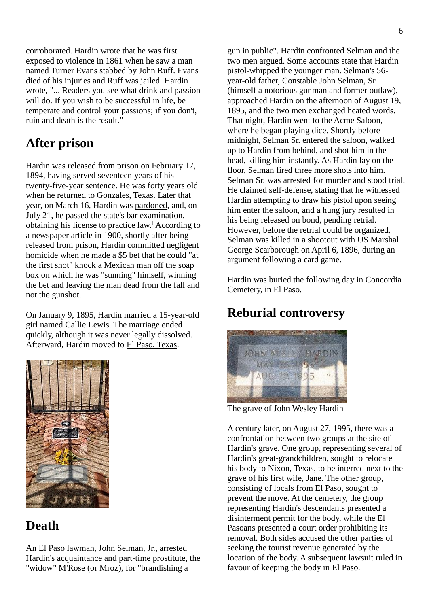corroborated. Hardin wrote that he was first exposed to violence in 1861 when he saw a man named Turner Evans stabbed by John Ruff. Evans died of his injuries and Ruff was jailed. Hardin wrote, "... Readers you see what drink and passion will do. If you wish to be successful in life, be temperate and control your passions; if you don't, ruin and death is the result."

# **After prison**

Hardin was released from prison on February 17, 1894, having served seventeen years of his twenty-five-year sentence. He was forty years old when he returned to Gonzales, Texas. Later that year, on March 16, Hardin was [pardoned,](https://en.wikipedia.org/wiki/Pardon) and, on July 21, he passed the state's [bar examination,](https://en.wikipedia.org/wiki/Bar_examination) obtaining his license to practice law.] According to a newspaper article in 1900, shortly after being released from prison, Hardin committed [negligent](https://en.wikipedia.org/wiki/Negligent_homicide)  [homicide](https://en.wikipedia.org/wiki/Negligent_homicide) when he made a \$5 bet that he could "at the first shot" knock a Mexican man off the soap box on which he was "sunning" himself, winning the bet and leaving the man dead from the fall and not the gunshot.

On January 9, 1895, Hardin married a 15-year-old girl named Callie Lewis. The marriage ended quickly, although it was never legally dissolved. Afterward, Hardin moved to [El Paso, Texas.](https://en.wikipedia.org/wiki/El_Paso,_Texas)



## **Death**

An El Paso lawman, John Selman, Jr., arrested Hardin's acquaintance and part-time prostitute, the "widow" M'Rose (or Mroz), for "brandishing a

gun in public". Hardin confronted Selman and the two men argued. Some accounts state that Hardin pistol-whipped the younger man. Selman's 56 year-old father, Constable [John Selman, Sr.](https://en.wikipedia.org/wiki/John_Selman) (himself a notorious gunman and former outlaw), approached Hardin on the afternoon of August 19, 1895, and the two men exchanged heated words. That night, Hardin went to the Acme Saloon, where he began playing dice. Shortly before midnight, Selman Sr. entered the saloon, walked up to Hardin from behind, and shot him in the head, killing him instantly. As Hardin lay on the floor, Selman fired three more shots into him. Selman Sr. was arrested for murder and stood trial. He claimed self-defense, stating that he witnessed Hardin attempting to draw his pistol upon seeing him enter the saloon, and a hung jury resulted in his being released on bond, pending retrial. However, before the retrial could be organized, Selman was killed in a shootout with [US Marshal](https://en.wikipedia.org/wiki/US_Marshal) [George Scarborough](https://en.wikipedia.org/wiki/George_Scarborough) on April 6, 1896, during an argument following a card game.

Hardin was buried the following day in Concordia Cemetery, in El Paso.

# **Reburial controversy**



The grave of John Wesley Hardin

A century later, on August 27, 1995, there was a confrontation between two groups at the site of Hardin's grave. One group, representing several of Hardin's great-grandchildren, sought to relocate his body to Nixon, Texas, to be interred next to the grave of his first wife, Jane. The other group, consisting of locals from El Paso, sought to prevent the move. At the cemetery, the group representing Hardin's descendants presented a disinterment permit for the body, while the El Pasoans presented a court order prohibiting its removal. Both sides accused the other parties of seeking the tourist revenue generated by the location of the body. A subsequent lawsuit ruled in favour of keeping the body in El Paso.